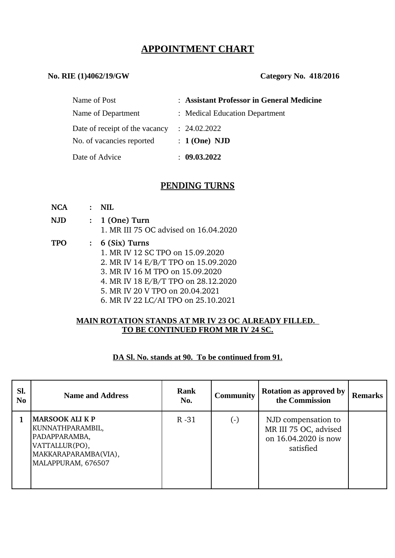# **APPOINTMENT CHART**

## **No. RIE (1)4062/19/GW Category No. 418/2016**

| Name of Post                   | : Assistant Professor in General Medicine |
|--------------------------------|-------------------------------------------|
| Name of Department             | : Medical Education Department            |
| Date of receipt of the vacancy | : 24.02.2022                              |
| No. of vacancies reported      | $: 1$ (One) NJD                           |
| Date of Advice                 | 09.03.2022                                |

# **PENDING TURNS**

| NCA  | $\bullet$ .  | NH.                                                                                                                                                                                                                                              |
|------|--------------|--------------------------------------------------------------------------------------------------------------------------------------------------------------------------------------------------------------------------------------------------|
| N.JD | $\mathbf{r}$ | 1 (One) Turn<br>1. MR III 75 OC advised on 16.04.2020                                                                                                                                                                                            |
| TPO  |              | $: 6$ (Six) Turns<br>1. MR IV 12 SC TPO on 15.09.2020<br>2. MR IV 14 E/B/T TPO on 15.09.2020<br>3. MR IV 16 M TPO on 15.09.2020<br>4. MR IV 18 E/B/T TPO on 28.12.2020<br>5. MR IV 20 V TPO on 20.04.2021<br>6. MR IV 22 LC/AI TPO on 25.10.2021 |

### **MAIN ROTATION STANDS AT MR IV 23 OC ALREADY FILLED. TO BE CONTINUED FROM MR IV 24 SC.**

## **DA Sl. No. stands at 90. To be continued from 91.**

| Sl.<br>N <sub>0</sub> | <b>Name and Address</b>                                                                                                     | <b>Rank</b><br>No. | <b>Community</b> | <b>Rotation as approved by</b><br>the Commission                                  | <b>Remarks</b> |
|-----------------------|-----------------------------------------------------------------------------------------------------------------------------|--------------------|------------------|-----------------------------------------------------------------------------------|----------------|
|                       | <b>MARSOOK ALI K P</b><br>KUNNATHPARAMBIL,<br>PADAPPARAMBA,<br>VATTALLUR(PO),<br>MAKKARAPARAMBA(VIA),<br>MALAPPURAM, 676507 | $R - 31$           | $(\cdot)$        | NJD compensation to<br>MR III 75 OC, advised<br>on 16.04.2020 is now<br>satisfied |                |